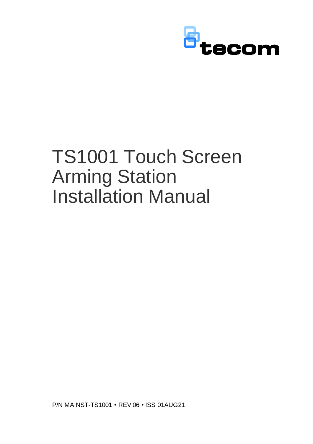

# TS1001 Touch Screen Arming Station Installation Manual

P/N MAINST-TS1001 • REV 06 • ISS 01AUG21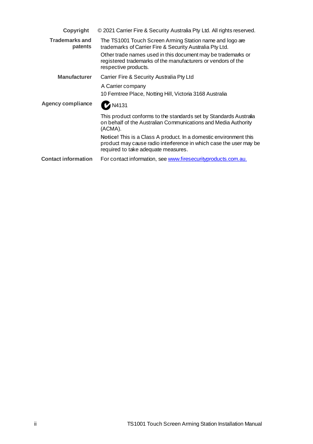| Copyright                  | © 2021 Carrier Fire & Security Australia Pty Ltd. All rights reserved.                                                                                                                                                                                                       |
|----------------------------|------------------------------------------------------------------------------------------------------------------------------------------------------------------------------------------------------------------------------------------------------------------------------|
| Trademarks and<br>patents  | The TS1001 Touch Screen Arming Station name and logo are<br>trademarks of Carrier Fire & Security Australia Pty Ltd.<br>Other trade names used in this document may be trademarks or<br>registered trademarks of the manufacturers or vendors of the<br>respective products. |
| <b>Manufacturer</b>        | Carrier Fire & Security Australia Pty Ltd                                                                                                                                                                                                                                    |
|                            | A Carrier company<br>10 Ferntree Place, Notting Hill, Victoria 3168 Australia                                                                                                                                                                                                |
| <b>Agency compliance</b>   | <b>M4131</b>                                                                                                                                                                                                                                                                 |
|                            | This product conforms to the standards set by Standards Australia<br>on behalf of the Australian Communications and Media Authority<br>(ACMA).                                                                                                                               |
|                            | <b>Notice!</b> This is a Class A product. In a domestic environment this<br>product may cause radio interference in which case the user may be<br>required to take adequate measures.                                                                                        |
| <b>Contact information</b> | For contact information, see www.firesecurityproducts.com.au.                                                                                                                                                                                                                |
|                            |                                                                                                                                                                                                                                                                              |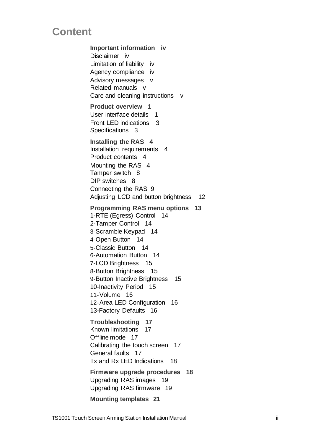# **Content**

**Important information iv** Disclaimer iv Limitation of liability iv Agency compliance iv Advisory messages v Related manuals v Care and cleaning instructions v **Product overview 1** User interface details 1 Front LED indications 3 Specifications 3 **Installing the RAS 4** Installation requirements 4 Product contents 4 Mounting the RAS 4 Tamper switch 8 DIP switches 8 Connecting the RAS 9 Adjusting LCD and button brightness 12 **Programming RAS menu options 13** 1-RTE (Egress) Control 14 2-Tamper Control 14 3-Scramble Keypad 14 4-Open Button 14 5-Classic Button 14 6-Automation Button 14 7-LCD Brightness 15 8-Button Brightness 15 9-Button Inactive Brightness 15 10-Inactivity Period 15 11-Volume 16 12-Area LED Configuration 16 13-Factory Defaults 16 **Troubleshooting 17** Known limitations 17 Offline mode 17 Calibrating the touch screen 17 General faults 17 Tx and Rx LED Indications 18 **Firmware upgrade procedures 18** Upgrading RAS images 19 Upgrading RAS firmware 19 **Mounting templates 21**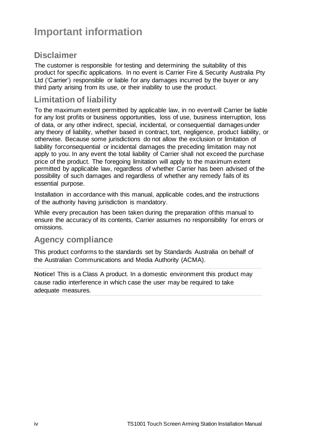# **Important information**

# **Disclaimer**

The customer is responsible for testing and determining the suitability of this product for specific applications. In no event is Carrier Fire & Security Australia Pty Ltd ('Carrier') responsible or liable for any damages incurred by the buyer or any third party arising from its use, or their inability to use the product.

# **Limitation of liability**

To the maximum extent permitted by applicable law, in no eventwill Carrier be liable for any lost profits or business opportunities, loss of use, business interruption, loss of data, or any other indirect, special, incidental, or consequential damagesunder any theory of liability, whether based in contract, tort, negligence, product liability, or otherwise. Because some jurisdictions do not allow the exclusion or limitation of liability forconsequential or incidental damages the preceding limitation may not apply to you. In any event the total liability of Carrier shall not exceed the purchase price of the product. The foregoing limitation will apply to the maximum extent permitted by applicable law, regardless of whether Carrier has been advised of the possibility of such damages and regardless of whether any remedy fails of its essential purpose.

Installation in accordance with this manual, applicable codes, and the instructions of the authority having jurisdiction is mandatory.

While every precaution has been taken during the preparation ofthis manual to ensure the accuracy of its contents, Carrier assumes no responsibility for errors or omissions.

### **Agency compliance**

This product conforms to the standards set by Standards Australia on behalf of the Australian Communications and Media Authority (ACMA).

**Notice!** This is a Class A product. In a domestic environment this product may cause radio interference in which case the user may be required to take adequate measures.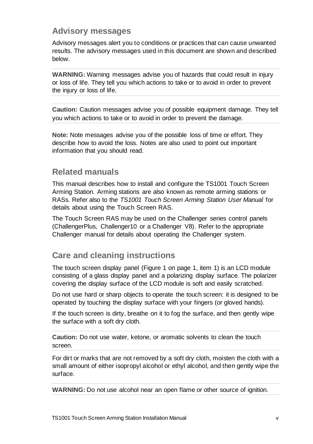### **Advisory messages**

Advisory messages alert you to conditions or practices that can cause unwanted results. The advisory messages used in this document are shown and described below.

**WARNING:** Warning messages advise you of hazards that could result in injury or loss of life. They tell you which actions to take or to avoid in order to prevent the injury or loss of life.

**Caution:** Caution messages advise you of possible equipment damage. They tell you which actions to take or to avoid in order to prevent the damage.

**Note:** Note messages advise you of the possible loss of time or effort. They describe how to avoid the loss. Notes are also used to point out important information that you should read.

# **Related manuals**

This manual describes how to install and configure the TS1001 Touch Screen Arming Station. Arming stations are also known as remote arming stations or RASs. Refer also to the *TS1001 Touch Screen Arming Station User Manual* for details about using the Touch Screen RAS.

The Touch Screen RAS may be used on the Challenger series control panels (ChallengerPlus, Challenger10 or a Challenger V8). Refer to the appropriate Challenger manual for details about operating the Challenger system.

### **Care and cleaning instructions**

The touch screen display panel (Figure 1 on page 1, item 1) is an LCD module consisting of a glass display panel and a polarizing display surface. The polarizer covering the display surface of the LCD module is soft and easily scratched.

Do not use hard or sharp objects to operate the touch screen: it is designed to be operated by touching the display surface with your fingers (or gloved hands).

If the touch screen is dirty, breathe on it to fog the surface, and then gently wipe the surface with a soft dry cloth.

**Caution:** Do not use water, ketone, or aromatic solvents to clean the touch screen.

For dirt or marks that are not removed by a soft dry cloth, moisten the cloth with a small amount of either isopropyl alcohol or ethyl alcohol, and then gently wipe the surface.

**WARNING:** Do not use alcohol near an open flame or other source of ignition.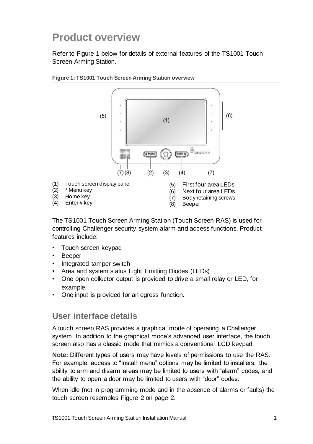# **Product overview**

Refer to Figure 1 below for details of external features of the TS1001 Touch Screen Arming Station.



**Figure 1: TS1001 Touch Screen Arming Station overview** 

- 
- 
- (3) Home key
- (4) Enter # key
- (7) Body retaining screws
- (8) Beeper

The TS1001 Touch Screen Arming Station (Touch Screen RAS) is used for controlling Challenger security system alarm and access functions. Product features include:

- Touch screen keypad
- Beeper
- Integrated tamper switch
- Area and system status Light Emitting Diodes (LEDs)
- One open collector output is provided to drive a small relay or LED, for example.
- One input is provided for an egress function.

### **User interface details**

A touch screen RAS provides a graphical mode of operating a Challenger system. In addition to the graphical mode's advanced user interface, the touch screen also has a classic mode that mimics a conventional LCD keypad.

**Note:** Different types of users may have levels of permissions to use the RAS. For example, access to "Install menu" options may be limited to installers, the ability to arm and disarm areas may be limited to users with "alarm" codes, and the ability to open a door may be limited to users with "door" codes.

When idle (not in programming mode and in the absence of alarms or faults) the touch screen resembles Figure 2 on page 2.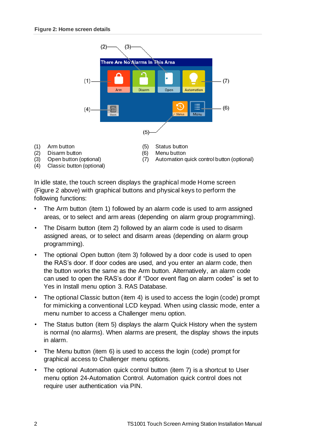

(4) Classic button (optional)

(1) Arm button

(7) Automation quick control button (optional)

In idle state, the touch screen displays the graphical mode Home screen (Figure 2 above) with graphical buttons and physical keys to perform the following functions:

- The Arm button (item 1) followed by an alarm code is used to arm assigned areas, or to select and arm areas (depending on alarm group programming).
- The Disarm button (item 2) followed by an alarm code is used to disarm assigned areas, or to select and disarm areas (depending on alarm group programming).
- The optional Open button (item 3) followed by a door code is used to open the RAS's door. If door codes are used, and you enter an alarm code, then the button works the same as the Arm button. Alternatively, an alarm code can used to open the RAS's door if "Door event flag on alarm codes" is set to Yes in Install menu option 3. RAS Database.
- The optional Classic button (item 4) is used to access the login (code) prompt for mimicking a conventional LCD keypad. When using classic mode, enter a menu number to access a Challenger menu option.
- The Status button (item 5) displays the alarm Quick History when the system is normal (no alarms). When alarms are present, the display shows the inputs in alarm.
- The Menu button (item 6) is used to access the login (code) prompt for graphical access to Challenger menu options.
- The optional Automation quick control button (item 7) is a shortcut to User menu option 24-Automation Control. Automation quick control does not require user authentication via PIN.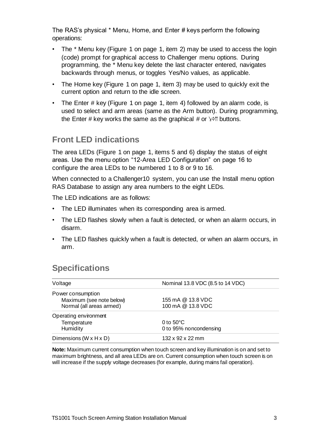The RAS's physical \* Menu, Home, and Enter # keys perform the following operations:

- The \* Menu key (Figure 1 on page 1, item 2) may be used to access the login (code) prompt for graphical access to Challenger menu options. During programming, the \* Menu key delete the last character entered, navigates backwards through menus, or toggles Yes/No values, as applicable.
- The Home key (Figure 1 on page 1, item 3) may be used to quickly exit the current option and return to the idle screen.
- The Enter # key (Figure 1 on page 1, item 4) followed by an alarm code, is used to select and arm areas (same as the Arm button). During programming, the Enter # key works the same as the graphical # or  $\geq \uparrow$  buttons.

# **Front LED indications**

The area LEDs (Figure 1 on page 1, items 5 and 6) display the status of eight areas. Use the menu option "12-Area LED Configuration" on page 16 to configure the area LEDs to be numbered 1 to 8 or 9 to 16.

When connected to a Challenger10 system, you can use the Install menu option RAS Database to assign any area numbers to the eight LEDs.

The LED indications are as follows:

- The LED illuminates when its corresponding area is armed.
- The LED flashes slowly when a fault is detected, or when an alarm occurs, in disarm.
- The LED flashes quickly when a fault is detected, or when an alarm occurs, in arm.

# **Specifications**

| Voltage                  | Nominal 13.8 VDC (8.5 to 14 VDC) |  |
|--------------------------|----------------------------------|--|
| Power consumption        |                                  |  |
| Maximum (see note below) | 155 mA @ 13.8 VDC                |  |
| Normal (all areas armed) | 100 mA @ 13.8 VDC                |  |
| Operating environment    |                                  |  |
| Temperature              | 0 to $50^{\circ}$ C              |  |
| Humidity                 | 0 to 95% noncondensing           |  |
| Dimensions (W x H x D)   | 132 x 92 x 22 mm                 |  |

**Note:** Maximum current consumption when touch screen and key illumination is on and set to maximum brightness, and all area LEDs are on. Current consumption when touch screen is on will increase if the supply voltage decreases (for example, during mains fail operation).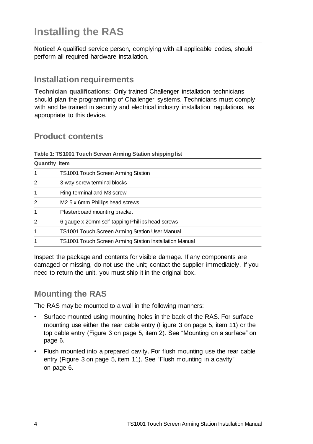# **Installing the RAS**

**Notice!** A qualified service person, complying with all applicable codes, should perform all required hardware installation.

# **Installation requirements**

**Technician qualifications:** Only trained Challenger installation technicians should plan the programming of Challenger systems. Technicians must comply with and be trained in security and electrical industry installation regulations, as appropriate to this device.

# **Product contents**

#### **Table 1: TS1001 Touch Screen Arming Station shipping list**

| <b>Quantity Item</b> |                                                        |  |  |  |
|----------------------|--------------------------------------------------------|--|--|--|
| 1                    | TS1001 Touch Screen Arming Station                     |  |  |  |
| 2                    | 3-way screw terminal blocks                            |  |  |  |
| 1                    | Ring terminal and M3 screw                             |  |  |  |
| 2                    | M2.5 x 6mm Phillips head screws                        |  |  |  |
| 1                    | Plasterboard mounting bracket                          |  |  |  |
| 2                    | 6 gauge x 20mm self-tapping Phillips head screws       |  |  |  |
| 1                    | TS1001 Touch Screen Arming Station User Manual         |  |  |  |
| 1                    | TS1001 Touch Screen Arming Station Installation Manual |  |  |  |

Inspect the package and contents for visible damage. If any components are damaged or missing, do not use the unit; contact the supplier immediately. If you need to return the unit, you must ship it in the original box.

# **Mounting the RAS**

The RAS may be mounted to a wall in the following manners:

- Surface mounted using mounting holes in the back of the RAS. For surface mounting use either the rear cable entry (Figure 3 on page 5, item 11) or the top cable entry (Figure 3 on page 5, item 2). See "Mounting on a surface" on page 6.
- Flush mounted into a prepared cavity. For flush mounting use the rear cable entry (Figure 3 on page 5, item 11). See "Flush mounting in a cavity" on page 6.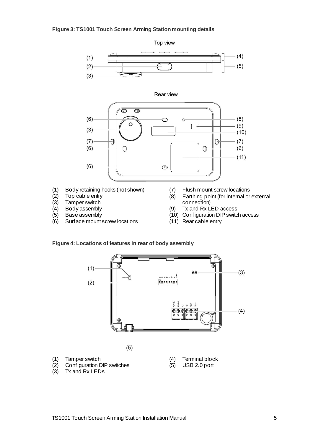#### **Figure 3: TS1001 Touch Screen Arming Station mounting details**



- Surface mount screw locations
- 
- (11) Rear cable entry

#### **Figure 4: Locations of features in rear of body assembly**

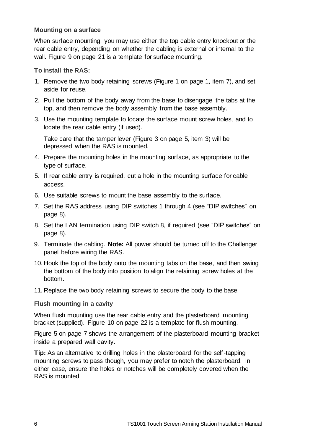#### **Mounting on a surface**

When surface mounting, you may use either the top cable entry knockout or the rear cable entry, depending on whether the cabling is external or internal to the wall. Figure 9 on page 21 is a template for surface mounting.

#### **To install the RAS:**

- 1. Remove the two body retaining screws (Figure 1 on page 1, item 7), and set aside for reuse.
- 2. Pull the bottom of the body away from the base to disengage the tabs at the top, and then remove the body assembly from the base assembly.
- 3. Use the mounting template to locate the surface mount screw holes, and to locate the rear cable entry (if used).

Take care that the tamper lever (Figure 3 on page 5, item 3) will be depressed when the RAS is mounted.

- 4. Prepare the mounting holes in the mounting surface, as appropriate to the type of surface.
- 5. If rear cable entry is required, cut a hole in the mounting surface for cable access.
- 6. Use suitable screws to mount the base assembly to the surface.
- 7. Set the RAS address using DIP switches 1 through 4 (see "DIP switches" on page 8).
- 8. Set the LAN termination using DIP switch 8, if required (see "DIP switches" on page 8).
- 9. Terminate the cabling. **Note:** All power should be turned off to the Challenger panel before wiring the RAS.
- 10. Hook the top of the body onto the mounting tabs on the base, and then swing the bottom of the body into position to align the retaining screw holes at the bottom.
- 11. Replace the two body retaining screws to secure the body to the base.

#### **Flush mounting in a cavity**

When flush mounting use the rear cable entry and the plasterboard mounting bracket (supplied). Figure 10 on page 22 is a template for flush mounting.

Figure 5 on page 7 shows the arrangement of the plasterboard mounting bracket inside a prepared wall cavity.

**Tip:** As an alternative to drilling holes in the plasterboard for the self-tapping mounting screws to pass though, you may prefer to notch the plasterboard. In either case, ensure the holes or notches will be completely covered when the RAS is mounted.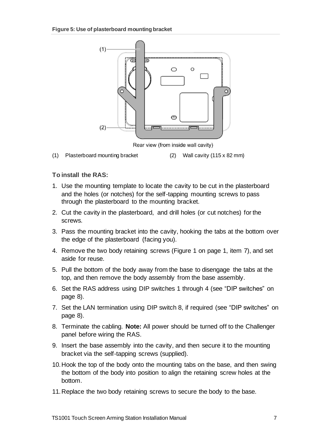

Rear view (from inside wall cavity)

(1) Plasterboard mounting bracket (2) Wall cavity (115 x 82 mm)

#### **To install the RAS:**

- 1. Use the mounting template to locate the cavity to be cut in the plasterboard and the holes (or notches) for the self-tapping mounting screws to pass through the plasterboard to the mounting bracket.
- 2. Cut the cavity in the plasterboard, and drill holes (or cut notches) for the screws.
- 3. Pass the mounting bracket into the cavity, hooking the tabs at the bottom over the edge of the plasterboard (facing you).
- 4. Remove the two body retaining screws (Figure 1 on page 1, item 7), and set aside for reuse.
- 5. Pull the bottom of the body away from the base to disengage the tabs at the top, and then remove the body assembly from the base assembly.
- 6. Set the RAS address using DIP switches 1 through 4 (see "DIP switches" on page 8).
- 7. Set the LAN termination using DIP switch 8, if required (see "DIP switches" on page 8).
- 8. Terminate the cabling. **Note:** All power should be turned off to the Challenger panel before wiring the RAS.
- 9. Insert the base assembly into the cavity, and then secure it to the mounting bracket via the self-tapping screws (supplied).
- 10.Hook the top of the body onto the mounting tabs on the base, and then swing the bottom of the body into position to align the retaining screw holes at the bottom.
- 11.Replace the two body retaining screws to secure the body to the base.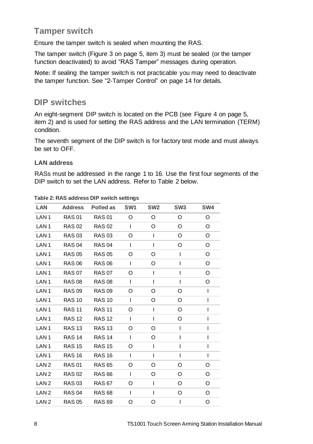# **Tamper switch**

Ensure the tamper switch is sealed when mounting the RAS.

The tamper switch (Figure 3 on page 5, item 3) must be sealed (or the tamper function deactivated) to avoid "RAS Tamper" messages during operation.

**Note:** If sealing the tamper switch is not practicable you may need to deactivate the tamper function. See "2-Tamper Control" on page 14 for details.

### **DIP switches**

An eight-segment DIP switch is located on the PCB (see Figure 4 on page 5, item 2) and is used for setting the RAS address and the LAN termination (TERM) condition.

The seventh segment of the DIP switch is for factory test mode and must always be set to OFF.

#### **LAN address**

RASs must be addressed in the range 1 to 16. Use the first four segments of the DIP switch to set the LAN address. Refer to Table 2 below.

| <b>LAN</b>       |               | Address Polled as | SW1          | SW <sub>2</sub> | SW <sub>3</sub> | SW <sub>4</sub> |
|------------------|---------------|-------------------|--------------|-----------------|-----------------|-----------------|
| LAN <sub>1</sub> | <b>RAS 01</b> | <b>RAS 01</b>     | O            | $\circ$         | O               | O               |
| LAN <sub>1</sub> |               | RAS 02 RAS 02     | $\mathbf{I}$ | O               | O               | O               |
| LAN <sub>1</sub> | <b>RAS 03</b> | <b>RAS 03</b>     | O            | $\mathbf{I}$    | O               | O               |
| LAN <sub>1</sub> | <b>RAS 04</b> | <b>RAS 04</b>     | $\mathbf{I}$ | $\mathbf{I}$    | O               | O               |
| LAN <sub>1</sub> | <b>RAS 05</b> | <b>RAS 05</b>     | O            | O               | I               | O               |
| LAN <sub>1</sub> | <b>RAS 06</b> | <b>RAS 06</b>     | $\mathbf{I}$ | O               | I               | O               |
| LAN <sub>1</sub> | <b>RAS 07</b> | <b>RAS 07</b>     | O            | $\mathbf{I}$    | I               | O               |
| LAN <sub>1</sub> | <b>RAS 08</b> | <b>RAS 08</b>     | Ι.           | $\mathbf{I}$    | I               | O               |
| LAN <sub>1</sub> | <b>RAS 09</b> | <b>RAS 09</b>     | O            | O               | O               | I               |
| LAN <sub>1</sub> | <b>RAS 10</b> | <b>RAS 10</b>     | $\mathbf{I}$ | O               | O               | I               |
| LAN <sub>1</sub> | <b>RAS 11</b> | <b>RAS 11</b>     | O            | $\mathsf{I}$    | O               | I               |
| LAN <sub>1</sub> | <b>RAS 12</b> | <b>RAS 12</b>     | $\mathbf{I}$ | $\mathbf l$     | O               | I               |
| LAN <sub>1</sub> | <b>RAS 13</b> | <b>RAS 13</b>     | O            | O               | I               | I               |
| LAN <sub>1</sub> | <b>RAS 14</b> | <b>RAS 14</b>     | $\mathbf{I}$ | O               | I               | I               |
| LAN <sub>1</sub> | <b>RAS 15</b> | <b>RAS 15</b>     | O            | $\mathbf l$     | I               | I               |
| LAN <sub>1</sub> | <b>RAS 16</b> | <b>RAS 16</b>     | $\mathbf{I}$ | I               | I               | I               |
| LAN <sub>2</sub> | <b>RAS 01</b> | <b>RAS 65</b>     | O            | O               | O               | O               |
| LAN <sub>2</sub> | <b>RAS 02</b> | <b>RAS 66</b>     | $\mathbf{I}$ | O               | O               | O               |
| LAN <sub>2</sub> | <b>RAS 03</b> | <b>RAS 67</b>     | O            | $\mathbf{I}$    | O               | O               |
| LAN <sub>2</sub> | <b>RAS 04</b> | <b>RAS 68</b>     | $\mathbf{I}$ | $\mathbf{I}$    | O               | O               |
| LAN <sub>2</sub> | <b>RAS 05</b> | <b>RAS 69</b>     | O            | O               | Ш               | O               |

**Table 2: RAS address DIP switch settings**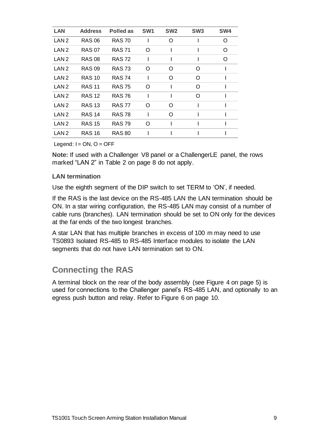| <b>LAN</b>       | <b>Address</b> | Polled as     | SW <sub>1</sub> | SW <sub>2</sub> | SW <sub>3</sub> | SW4 |
|------------------|----------------|---------------|-----------------|-----------------|-----------------|-----|
| LAN <sub>2</sub> | <b>RAS 06</b>  | <b>RAS 70</b> |                 | ∩               |                 | O   |
| LAN <sub>2</sub> | <b>RAS 07</b>  | <b>RAS 71</b> | O               |                 |                 | O   |
| LAN <sub>2</sub> | <b>RAS 08</b>  | <b>RAS 72</b> | ı               |                 |                 | O   |
| LAN <sub>2</sub> | <b>RAS 09</b>  | <b>RAS 73</b> | O               | O               | O               |     |
| LAN <sub>2</sub> | <b>RAS 10</b>  | <b>RAS 74</b> |                 | O               | O               |     |
| LAN <sub>2</sub> | <b>RAS 11</b>  | <b>RAS75</b>  | O               |                 | O               |     |
| LAN <sub>2</sub> | <b>RAS 12</b>  | <b>RAS76</b>  |                 |                 | O               |     |
| LAN <sub>2</sub> | <b>RAS 13</b>  | <b>RAS 77</b> | O               | $\Omega$        |                 |     |
| LAN <sub>2</sub> | <b>RAS 14</b>  | <b>RAS 78</b> |                 | $\Omega$        |                 |     |
| LAN <sub>2</sub> | <b>RAS 15</b>  | <b>RAS 79</b> | O               |                 |                 |     |
| LAN <sub>2</sub> | <b>RAS 16</b>  | <b>RAS 80</b> |                 |                 |                 |     |

Legend:  $I = ON$ ,  $O = OFF$ 

**Note:** If used with a Challenger V8 panel or a ChallengerLE panel, the rows marked "LAN 2" in Table 2 on page 8 do not apply.

#### **LAN termination**

Use the eighth segment of the DIP switch to set TERM to 'ON', if needed.

If the RAS is the last device on the RS-485 LAN the LAN termination should be ON. In a star wiring configuration, the RS-485 LAN may consist of a number of cable runs (branches). LAN termination should be set to ON only for the devices at the far ends of the two longest branches.

A star LAN that has multiple branches in excess of 100 m may need to use TS0893 Isolated RS-485 to RS-485 Interface modules to isolate the LAN segments that do not have LAN termination set to ON.

### **Connecting the RAS**

A terminal block on the rear of the body assembly (see Figure 4 on page 5) is used for connections to the Challenger panel's RS-485 LAN, and optionally to an egress push button and relay. Refer to Figure 6 on page 10.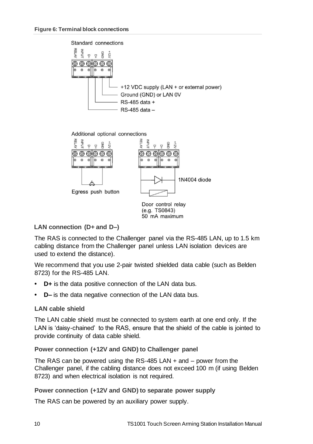Standard connections



#### Additional optional connections



#### **LAN connection (D+ and D–)**

The RAS is connected to the Challenger panel via the RS-485 LAN, up to 1.5 km cabling distance from the Challenger panel unless LAN isolation devices are used to extend the distance).

50 mA maximum

We recommend that you use 2-pair twisted shielded data cable (such as Belden 8723) for the RS-485 LAN.

- **• D+** is the data positive connection of the LAN data bus.
- **• D–** is the data negative connection of the LAN data bus.

#### **LAN cable shield**

The LAN cable shield must be connected to system earth at one end only. If the LAN is 'daisy-chained' to the RAS, ensure that the shield of the cable is jointed to provide continuity of data cable shield.

#### **Power connection (+12V and GND) to Challenger panel**

The RAS can be powered using the RS-485 LAN + and – power from the Challenger panel, if the cabling distance does not exceed 100 m (if using Belden 8723) and when electrical isolation is not required.

#### **Power connection (+12V and GND) to separate power supply**

The RAS can be powered by an auxiliary power supply.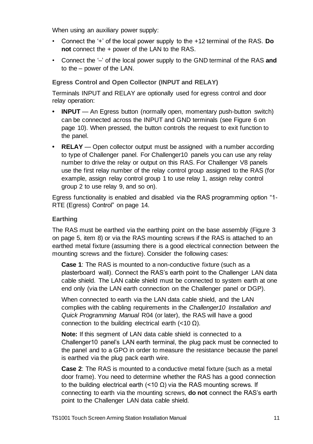When using an auxiliary power supply:

- Connect the '+' of the local power supply to the +12 terminal of the RAS. **Do not** connect the + power of the LAN to the RAS.
- Connect the '–' of the local power supply to the GND terminal of the RAS **and** to the – power of the LAN.

#### **Egress Control and Open Collector (INPUT and RELAY)**

Terminals INPUT and RELAY are optionally used for egress control and door relay operation:

- **INPUT** An Egress button (normally open, momentary push-button switch) can be connected across the INPUT and GND terminals (see Figure 6 on page 10). When pressed, the button controls the request to exit function to the panel.
- **RELAY** Open collector output must be assigned with a number according to type of Challenger panel. For Challenger10 panels you can use any relay number to drive the relay or output on this RAS. For Challenger V8 panels use the first relay number of the relay control group assigned to the RAS (for example, assign relay control group 1 to use relay 1, assign relay control group 2 to use relay 9, and so on).

Egress functionality is enabled and disabled via the RAS programming option "1- RTE (Egress) Control" on page 14.

#### **Earthing**

The RAS must be earthed via the earthing point on the base assembly (Figure 3 on page 5, item 8) or via the RAS mounting screws if the RAS is attached to an earthed metal fixture (assuming there is a good electrical connection between the mounting screws and the fixture). Consider the following cases:

**Case 1**: The RAS is mounted to a non-conductive fixture (such as a plasterboard wall). Connect the RAS's earth point to the Challenger LAN data cable shield. The LAN cable shield must be connected to system earth at one end only (via the LAN earth connection on the Challenger panel or DGP).

When connected to earth via the LAN data cable shield, and the LAN complies with the cabling requirements in the *Challenger10 Installation and Quick Programming Manual* R04 (or later), the RAS will have a good connection to the building electrical earth (<10 Ω).

**Note:** If this segment of LAN data cable shield is connected to a Challenger10 panel's LAN earth terminal, the plug pack must be connected to the panel and to a GPO in order to measure the resistance because the panel is earthed via the plug pack earth wire.

**Case 2**: The RAS is mounted to a conductive metal fixture (such as a metal door frame). You need to determine whether the RAS has a good connection to the building electrical earth (<10 Ω) via the RAS mounting screws. If connecting to earth via the mounting screws, **do not** connect the RAS's earth point to the Challenger LAN data cable shield.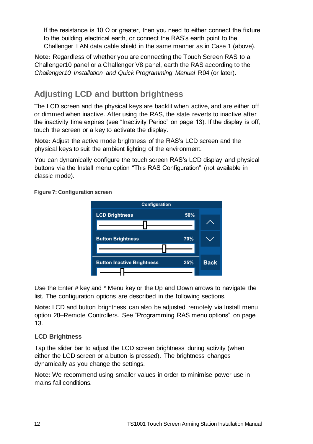If the resistance is 10  $\Omega$  or greater, then you need to either connect the fixture to the building electrical earth, or connect the RAS's earth point to the Challenger LAN data cable shield in the same manner as in Case 1 (above).

**Note:** Regardless of whether you are connecting the Touch Screen RAS to a Challenger10 panel or a Challenger V8 panel, earth the RAS according to the *Challenger10 Installation and Quick Programming Manual* R04 (or later).

# **Adjusting LCD and button brightness**

The LCD screen and the physical keys are backlit when active, and are either off or dimmed when inactive. After using the RAS, the state reverts to inactive after the inactivity time expires (see "Inactivity Period" on page 13). If the display is off, touch the screen or a key to activate the display.

**Note:** Adjust the active mode brightness of the RAS's LCD screen and the physical keys to suit the ambient lighting of the environment.

You can dynamically configure the touch screen RAS's LCD display and physical buttons via the Install menu option "This RAS Configuration" (not available in classic mode).



**Figure 7: Configuration screen**

Use the Enter # key and \* Menu key or the Up and Down arrows to navigate the list. The configuration options are described in the following sections.

**Note:** LCD and button brightness can also be adjusted remotely via Install menu option 28–Remote Controllers. See "Programming RAS menu options" on page 13.

#### **LCD Brightness**

Tap the slider bar to adjust the LCD screen brightness during activity (when either the LCD screen or a button is pressed). The brightness changes dynamically as you change the settings.

**Note:** We recommend using smaller values in order to minimise power use in mains fail conditions.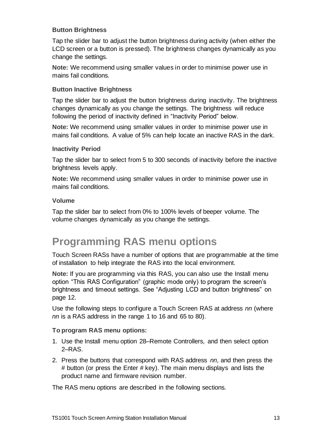#### **Button Brightness**

Tap the slider bar to adjust the button brightness during activity (when either the LCD screen or a button is pressed). The brightness changes dynamically as you change the settings.

**Note:** We recommend using smaller values in order to minimise power use in mains fail conditions.

#### **Button Inactive Brightness**

Tap the slider bar to adjust the button brightness during inactivity. The brightness changes dynamically as you change the settings. The brightness will reduce following the period of inactivity defined in "Inactivity Period" below.

**Note:** We recommend using smaller values in order to minimise power use in mains fail conditions. A value of 5% can help locate an inactive RAS in the dark.

#### **Inactivity Period**

Tap the slider bar to select from 5 to 300 seconds of inactivity before the inactive brightness levels apply.

**Note:** We recommend using smaller values in order to minimise power use in mains fail conditions.

#### **Volume**

Tap the slider bar to select from 0% to 100% levels of beeper volume. The volume changes dynamically as you change the settings.

# **Programming RAS menu options**

Touch Screen RASs have a number of options that are programmable at the time of installation to help integrate the RAS into the local environment.

**Note:** If you are programming via this RAS, you can also use the Install menu option "This RAS Configuration" (graphic mode only) to program the screen's brightness and timeout settings. See "Adjusting LCD and button brightness" on page 12.

Use the following steps to configure a Touch Screen RAS at address *nn* (where *nn* is a RAS address in the range 1 to 16 and 65 to 80).

#### **To program RAS menu options:**

- 1. Use the Install menu option 28–Remote Controllers, and then select option 2–RAS.
- 2. Press the buttons that correspond with RAS address *nn*, and then press the # button (or press the Enter # key). The main menu displays and lists the product name and firmware revision number.

The RAS menu options are described in the following sections.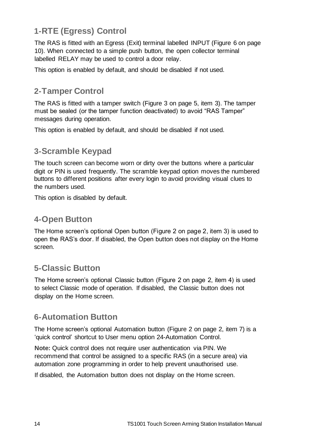# **1-RTE (Egress) Control**

The RAS is fitted with an Egress (Exit) terminal labelled INPUT (Figure 6 on page 10). When connected to a simple push button, the open collector terminal labelled RELAY may be used to control a door relay.

This option is enabled by default, and should be disabled if not used.

# **2-Tamper Control**

The RAS is fitted with a tamper switch (Figure 3 on page 5, item 3). The tamper must be sealed (or the tamper function deactivated) to avoid "RAS Tamper" messages during operation.

This option is enabled by default, and should be disabled if not used.

# **3-Scramble Keypad**

The touch screen can become worn or dirty over the buttons where a particular digit or PIN is used frequently. The scramble keypad option moves the numbered buttons to different positions after every login to avoid providing visual clues to the numbers used.

This option is disabled by default.

# **4-Open Button**

The Home screen's optional Open button (Figure 2 on page 2, item 3) is used to open the RAS's door. If disabled, the Open button does not display on the Home screen.

# **5-Classic Button**

The Home screen's optional Classic button (Figure 2 on page 2, item 4) is used to select Classic mode of operation. If disabled, the Classic button does not display on the Home screen.

# **6-Automation Button**

The Home screen's optional Automation button (Figure 2 on page 2, item 7) is a 'quick control' shortcut to User menu option 24-Automation Control.

**Note:** Quick control does not require user authentication via PIN. We recommend that control be assigned to a specific RAS (in a secure area) via automation zone programming in order to help prevent unauthorised use.

If disabled, the Automation button does not display on the Home screen.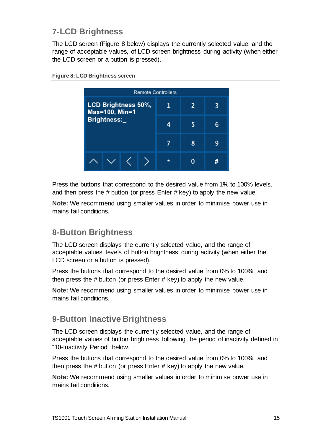# **7-LCD Brightness**

The LCD screen (Figure 8 below) displays the currently selected value, and the range of acceptable values, of LCD screen brightness during activity (when either the LCD screen or a button is pressed).



**Figure 8: LCD Brightness screen**

Press the buttons that correspond to the desired value from 1% to 100% levels, and then press the # button (or press Enter # key) to apply the new value.

**Note:** We recommend using smaller values in order to minimise power use in mains fail conditions.

# **8-Button Brightness**

The LCD screen displays the currently selected value, and the range of acceptable values, levels of button brightness during activity (when either the LCD screen or a button is pressed).

Press the buttons that correspond to the desired value from 0% to 100%, and then press the # button (or press Enter # key) to apply the new value.

**Note:** We recommend using smaller values in order to minimise power use in mains fail conditions.

# **9-Button Inactive Brightness**

The LCD screen displays the currently selected value, and the range of acceptable values of button brightness following the period of inactivity defined in "10-Inactivity Period" below.

Press the buttons that correspond to the desired value from 0% to 100%, and then press the # button (or press Enter # key) to apply the new value.

**Note:** We recommend using smaller values in order to minimise power use in mains fail conditions.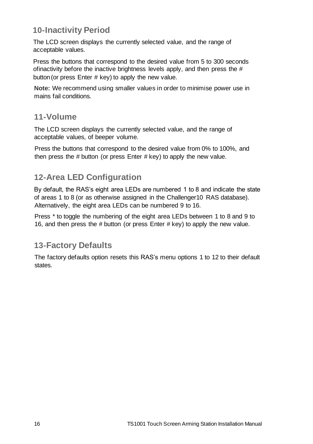# **10-Inactivity Period**

The LCD screen displays the currently selected value, and the range of acceptable values.

Press the buttons that correspond to the desired value from 5 to 300 seconds ofinactivity before the inactive brightness levels apply, and then press the # button(or press Enter # key) to apply the new value.

**Note:** We recommend using smaller values in order to minimise power use in mains fail conditions.

### **11-Volume**

The LCD screen displays the currently selected value, and the range of acceptable values, of beeper volume.

Press the buttons that correspond to the desired value from 0% to 100%, and then press the  $#$  button (or press Enter  $#$  key) to apply the new value.

# **12-Area LED Configuration**

By default, the RAS's eight area LEDs are numbered 1 to 8 and indicate the state of areas 1 to 8 (or as otherwise assigned in the Challenger10 RAS database). Alternatively, the eight area LEDs can be numbered 9 to 16.

Press \* to toggle the numbering of the eight area LEDs between 1 to 8 and 9 to 16, and then press the # button (or press Enter # key) to apply the new value.

# **13-Factory Defaults**

The factory defaults option resets this RAS's menu options 1 to 12 to their default states.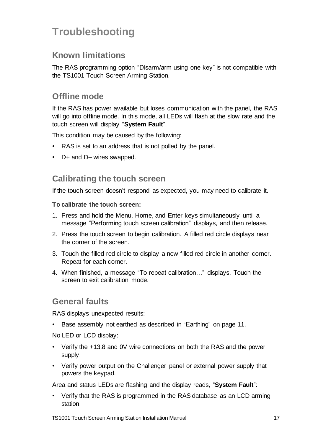# **Troubleshooting**

# **Known limitations**

The RAS programming option "Disarm/arm using one key" is not compatible with the TS1001 Touch Screen Arming Station.

### **Offline mode**

If the RAS has power available but loses communication with the panel, the RAS will go into offline mode. In this mode, all LEDs will flash at the slow rate and the touch screen will display "**System Fault**".

This condition may be caused by the following:

- RAS is set to an address that is not polled by the panel.
- D+ and D– wires swapped.

# **Calibrating the touch screen**

If the touch screen doesn't respond as expected, you may need to calibrate it.

**To calibrate the touch screen:**

- 1. Press and hold the Menu, Home, and Enter keys simultaneously until a message "Performing touch screen calibration" displays, and then release.
- 2. Press the touch screen to begin calibration. A filled red circle displays near the corner of the screen.
- 3. Touch the filled red circle to display a new filled red circle in another corner. Repeat for each corner.
- 4. When finished, a message "To repeat calibration…" displays. Touch the screen to exit calibration mode.

### **General faults**

RAS displays unexpected results:

• Base assembly not earthed as described in "Earthing" on page 11.

No LED or LCD display:

- Verify the +13.8 and 0V wire connections on both the RAS and the power supply.
- Verify power output on the Challenger panel or external power supply that powers the keypad.

Area and status LEDs are flashing and the display reads, "**System Fault**":

• Verify that the RAS is programmed in the RAS database as an LCD arming station.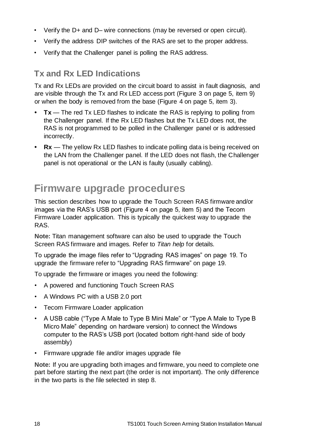- Verify the D+ and D– wire connections (may be reversed or open circuit).
- Verify the address DIP switches of the RAS are set to the proper address.
- Verify that the Challenger panel is polling the RAS address.

### **Tx and Rx LED Indications**

Tx and Rx LEDs are provided on the circuit board to assist in fault diagnosis, and are visible through the Tx and Rx LED access port (Figure 3 on page 5, item 9) or when the body is removed from the base (Figure 4 on page 5, item 3).

- **• Tx**  The red Tx LED flashes to indicate the RAS is replying to polling from the Challenger panel. If the Rx LED flashes but the Tx LED does not, the RAS is not programmed to be polled in the Challenger panel or is addressed incorrectly.
- **• Rx**  The yellow Rx LED flashes to indicate polling data is being received on the LAN from the Challenger panel. If the LED does not flash, the Challenger panel is not operational or the LAN is faulty (usually cabling).

# **Firmware upgrade procedures**

This section describes how to upgrade the Touch Screen RAS firmware and/or images via the RAS's USB port (Figure 4 on page 5, item 5) and the Tecom Firmware Loader application. This is typically the quickest way to upgrade the RAS.

**Note:** Titan management software can also be used to upgrade the Touch Screen RAS firmware and images. Refer to *Titan help* for details.

To upgrade the image files refer to "Upgrading RAS images" on page 19. To upgrade the firmware refer to "Upgrading RAS firmware" on page 19.

To upgrade the firmware or images you need the following:

- A powered and functioning Touch Screen RAS
- A Windows PC with a USB 2.0 port
- Tecom Firmware Loader application
- A USB cable ("Type A Male to Type B Mini Male" or "Type A Male to Type B Micro Male" depending on hardware version) to connect the Windows computer to the RAS's USB port (located bottom right-hand side of body assembly)
- Firmware upgrade file and/or images upgrade file

**Note:** If you are upgrading both images and firmware, you need to complete one part before starting the next part (the order is not important). The only difference in the two parts is the file selected in step 8.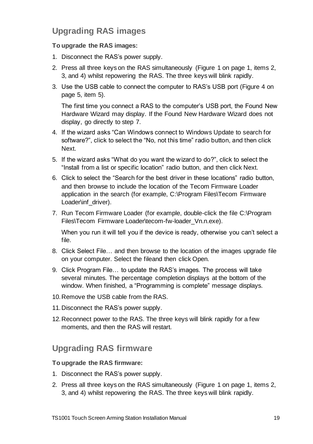# **Upgrading RAS images**

#### **To upgrade the RAS images:**

- 1. Disconnect the RAS's power supply.
- 2. Press all three keys on the RAS simultaneously (Figure 1 on page 1, items 2, 3, and 4) whilst repowering the RAS. The three keys will blink rapidly.
- 3. Use the USB cable to connect the computer to RAS's USB port (Figure 4 on page 5, item 5).

The first time you connect a RAS to the computer's USB port, the Found New Hardware Wizard may display. If the Found New Hardware Wizard does not display, go directly to step 7.

- 4. If the wizard asks "Can Windows connect to Windows Update to search for software?", click to select the "No, not this time" radio button, and then click Next.
- 5. If the wizard asks "What do you want the wizard to do?", click to select the "Install from a list or specific location" radio button, and then click Next.
- 6. Click to select the "Search for the best driver in these locations" radio button, and then browse to include the location of the Tecom Firmware Loader application in the search (for example, C:\Program Files\Tecom Firmware Loader\inf\_driver).
- 7. Run Tecom Firmware Loader (for example, double-click the file C:\Program Files\Tecom Firmware Loader\tecom-fw-loader Vn.n.exe).

When you run it will tell you if the device is ready, otherwise you can't select a file.

- 8. Click Select File… and then browse to the location of the images upgrade file on your computer. Select the fileand then click Open.
- 9. Click Program File… to update the RAS's images. The process will take several minutes. The percentage completion displays at the bottom of the window. When finished, a "Programming is complete" message displays.
- 10.Remove the USB cable from the RAS.
- 11.Disconnect the RAS's power supply.
- 12.Reconnect power to the RAS. The three keys will blink rapidly for a few moments, and then the RAS will restart.

# **Upgrading RAS firmware**

#### **To upgrade the RAS firmware:**

- 1. Disconnect the RAS's power supply.
- 2. Press all three keys on the RAS simultaneously (Figure 1 on page 1, items 2, 3, and 4) whilst repowering the RAS. The three keys will blink rapidly.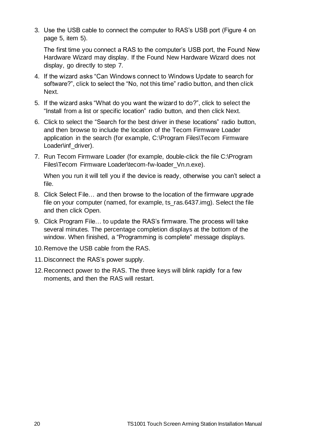3. Use the USB cable to connect the computer to RAS's USB port (Figure 4 on page 5, item 5).

The first time you connect a RAS to the computer's USB port, the Found New Hardware Wizard may display. If the Found New Hardware Wizard does not display, go directly to step 7.

- 4. If the wizard asks "Can Windows connect to Windows Update to search for software?", click to select the "No, not this time" radio button, and then click Next.
- 5. If the wizard asks "What do you want the wizard to do?", click to select the "Install from a list or specific location" radio button, and then click Next.
- 6. Click to select the "Search for the best driver in these locations" radio button, and then browse to include the location of the Tecom Firmware Loader application in the search (for example, C:\Program Files\Tecom Firmware Loader\inf\_driver).
- 7. Run Tecom Firmware Loader (for example, double-click the file C:\Program Files\Tecom Firmware Loader\tecom-fw-loader\_Vn.n.exe).

When you run it will tell you if the device is ready, otherwise you can't select a file.

- 8. Click Select File… and then browse to the location of the firmware upgrade file on your computer (named, for example, ts\_ras.6437.img). Select the file and then click Open.
- 9. Click Program File… to update the RAS's firmware. The process will take several minutes. The percentage completion displays at the bottom of the window. When finished, a "Programming is complete" message displays.
- 10.Remove the USB cable from the RAS.
- 11.Disconnect the RAS's power supply.
- 12.Reconnect power to the RAS. The three keys will blink rapidly for a few moments, and then the RAS will restart.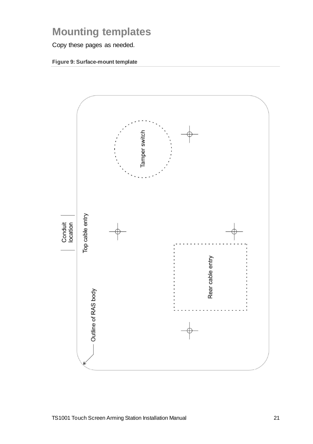# **Mounting templates**

Copy these pages as needed.